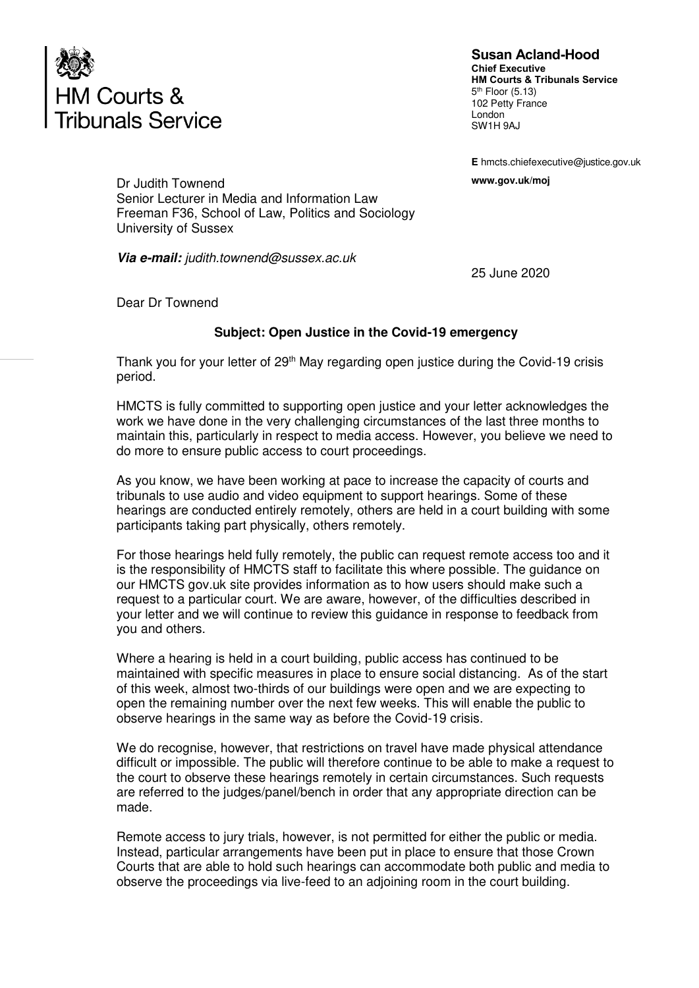

**Susan Acland-Hood Chief Executive HM Courts & Tribunals Service**  5<sup>th</sup> Floor (5.13) 102 Petty France London SW1H 9AJ

**E** hmcts.chiefexecutive@justice.gov.uk

Dr Judith Townend **www.gov.uk/moj**  Senior Lecturer in Media and Information Law Freeman F36, School of Law, Politics and Sociology University of Sussex

**Via e-mail:** judith.townend@sussex.ac.uk

25 June 2020

Dear Dr Townend

## **Subject: Open Justice in the Covid-19 emergency**

Thank you for your letter of 29<sup>th</sup> May regarding open justice during the Covid-19 crisis period.

HMCTS is fully committed to supporting open justice and your letter acknowledges the work we have done in the very challenging circumstances of the last three months to maintain this, particularly in respect to media access. However, you believe we need to do more to ensure public access to court proceedings.

As you know, we have been working at pace to increase the capacity of courts and tribunals to use audio and video equipment to support hearings. Some of these hearings are conducted entirely remotely, others are held in a court building with some participants taking part physically, others remotely.

For those hearings held fully remotely, the public can request remote access too and it is the responsibility of HMCTS staff to facilitate this where possible. The guidance on our HMCTS gov.uk site provides information as to how users should make such a request to a particular court. We are aware, however, of the difficulties described in your letter and we will continue to review this guidance in response to feedback from you and others.

Where a hearing is held in a court building, public access has continued to be maintained with specific measures in place to ensure social distancing. As of the start of this week, almost two-thirds of our buildings were open and we are expecting to open the remaining number over the next few weeks. This will enable the public to observe hearings in the same way as before the Covid-19 crisis.

We do recognise, however, that restrictions on travel have made physical attendance difficult or impossible. The public will therefore continue to be able to make a request to the court to observe these hearings remotely in certain circumstances. Such requests are referred to the judges/panel/bench in order that any appropriate direction can be made.

Remote access to jury trials, however, is not permitted for either the public or media. Instead, particular arrangements have been put in place to ensure that those Crown Courts that are able to hold such hearings can accommodate both public and media to observe the proceedings via live-feed to an adjoining room in the court building.